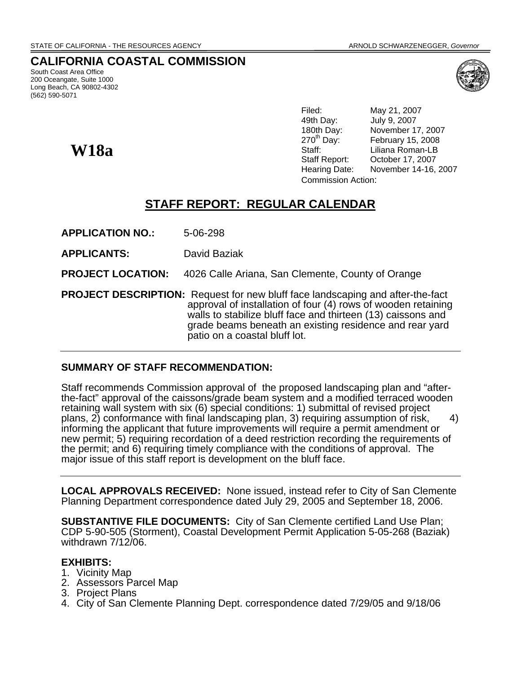# **CALIFORNIA COASTAL COMMISSION**

South Coast Area Office 200 Oceangate, Suite 1000 Long Beach, CA 90802-4302 (562) 590-5071

**W18a** 



Filed: May 21, 2007 49th Day: July 9, 2007 180th Day: November 17, 2007<br>270<sup>th</sup> Day: February 15, 2008 February 15, 2008 Staff: Liliana Roman-LB Staff Report: October 17, 2007 Hearing Date: November 14-16, 2007 Commission Action:

# **STAFF REPORT: REGULAR CALENDAR**

**APPLICATION NO.:** 5-06-298

**APPLICANTS:** David Baziak

**PROJECT LOCATION:** 4026 Calle Ariana, San Clemente, County of Orange

**PROJECT DESCRIPTION:** Request for new bluff face landscaping and after-the-fact approval of installation of four (4) rows of wooden retaining walls to stabilize bluff face and thirteen (13) caissons and grade beams beneath an existing residence and rear yard patio on a coastal bluff lot.

#### **SUMMARY OF STAFF RECOMMENDATION:**

Staff recommends Commission approval of the proposed landscaping plan and "afterthe-fact" approval of the caissons/grade beam system and a modified terraced wooden retaining wall system with six (6) special conditions: 1) submittal of revised project plans,  $2$ ) conformance with final landscaping plan, 3) requiring assumption of risk,  $4)$ informing the applicant that future improvements will require a permit amendment or new permit; 5) requiring recordation of a deed restriction recording the requirements of the permit; and 6) requiring timely compliance with the conditions of approval. The major issue of this staff report is development on the bluff face.

**LOCAL APPROVALS RECEIVED:** None issued, instead refer to City of San Clemente Planning Department correspondence dated July 29, 2005 and September 18, 2006.

**SUBSTANTIVE FILE DOCUMENTS:** City of San Clemente certified Land Use Plan; CDP 5-90-505 (Storment), Coastal Development Permit Application 5-05-268 (Baziak) withdrawn 7/12/06.

#### **EXHIBITS:**

- 1. Vicinity Map
- 2. Assessors Parcel Map
- 3. Project Plans
- 4. City of San Clemente Planning Dept. correspondence dated 7/29/05 and 9/18/06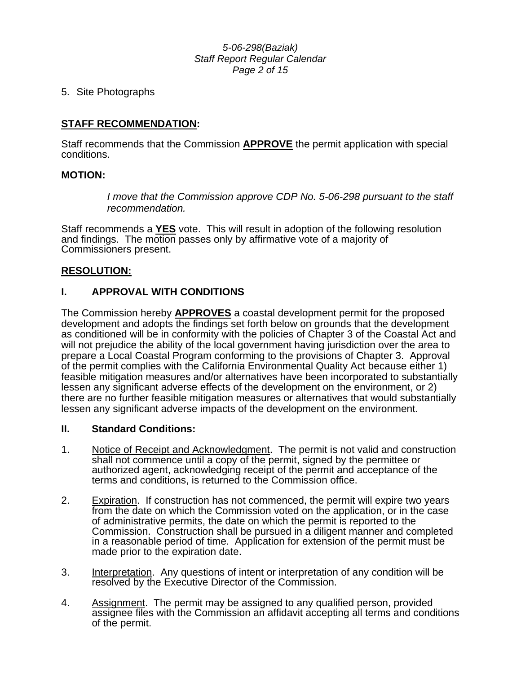#### *5-06-298(Baziak) Staff Report Regular Calendar Page 2 of 15*

#### 5. Site Photographs

#### **STAFF RECOMMENDATION:**

Staff recommends that the Commission **APPROVE** the permit application with special conditions.

#### **MOTION:**

*I move that the Commission approve CDP No. 5-06-298 pursuant to the staff recommendation.* 

Staff recommends a **YES** vote. This will result in adoption of the following resolution and findings. The motion passes only by affirmative vote of a majority of Commissioners present.

#### **RESOLUTION:**

# **I. APPROVAL WITH CONDITIONS**

The Commission hereby **APPROVES** a coastal development permit for the proposed development and adopts the findings set forth below on grounds that the development as conditioned will be in conformity with the policies of Chapter 3 of the Coastal Act and will not prejudice the ability of the local government having jurisdiction over the area to prepare a Local Coastal Program conforming to the provisions of Chapter 3. Approval of the permit complies with the California Environmental Quality Act because either 1) feasible mitigation measures and/or alternatives have been incorporated to substantially lessen any significant adverse effects of the development on the environment, or 2) there are no further feasible mitigation measures or alternatives that would substantially lessen any significant adverse impacts of the development on the environment.

#### **II. Standard Conditions:**

- 1. Notice of Receipt and Acknowledgment. The permit is not valid and construction shall not commence until a copy of the permit, signed by the permittee or authorized agent, acknowledging receipt of the permit and acceptance of the terms and conditions, is returned to the Commission office.
- 2. Expiration. If construction has not commenced, the permit will expire two years from the date on which the Commission voted on the application, or in the case of administrative permits, the date on which the permit is reported to the Commission. Construction shall be pursued in a diligent manner and completed in a reasonable period of time. Application for extension of the permit must be made prior to the expiration date.
- 3. Interpretation. Any questions of intent or interpretation of any condition will be resolved by the Executive Director of the Commission.
- 4. Assignment. The permit may be assigned to any qualified person, provided assignee files with the Commission an affidavit accepting all terms and conditions of the permit.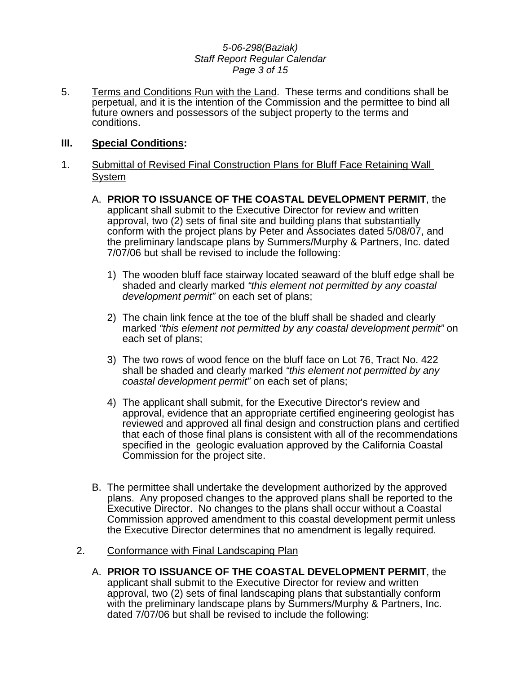#### *5-06-298(Baziak) Staff Report Regular Calendar Page 3 of 15*

5. Terms and Conditions Run with the Land. These terms and conditions shall be perpetual, and it is the intention of the Commission and the permittee to bind all future owners and possessors of the subject property to the terms and conditions.

#### **III. Special Conditions:**

- 1. Submittal of Revised Final Construction Plans for Bluff Face Retaining Wall System
	- A. **PRIOR TO ISSUANCE OF THE COASTAL DEVELOPMENT PERMIT**, the applicant shall submit to the Executive Director for review and written approval, two (2) sets of final site and building plans that substantially conform with the project plans by Peter and Associates dated 5/08/07, and the preliminary landscape plans by Summers/Murphy & Partners, Inc. dated 7/07/06 but shall be revised to include the following:
		- 1) The wooden bluff face stairway located seaward of the bluff edge shall be shaded and clearly marked *"this element not permitted by any coastal development permit"* on each set of plans;
		- 2) The chain link fence at the toe of the bluff shall be shaded and clearly marked *"this element not permitted by any coastal development permit"* on each set of plans;
		- 3) The two rows of wood fence on the bluff face on Lot 76, Tract No. 422 shall be shaded and clearly marked *"this element not permitted by any coastal development permit"* on each set of plans;
		- 4) The applicant shall submit, for the Executive Director's review and approval, evidence that an appropriate certified engineering geologist has reviewed and approved all final design and construction plans and certified that each of those final plans is consistent with all of the recommendations specified in the geologic evaluation approved by the California Coastal Commission for the project site.
	- B. The permittee shall undertake the development authorized by the approved plans. Any proposed changes to the approved plans shall be reported to the Executive Director. No changes to the plans shall occur without a Coastal Commission approved amendment to this coastal development permit unless the Executive Director determines that no amendment is legally required.
	- 2. Conformance with Final Landscaping Plan
		- A. **PRIOR TO ISSUANCE OF THE COASTAL DEVELOPMENT PERMIT**, the applicant shall submit to the Executive Director for review and written approval, two (2) sets of final landscaping plans that substantially conform with the preliminary landscape plans by Summers/Murphy & Partners, Inc. dated 7/07/06 but shall be revised to include the following: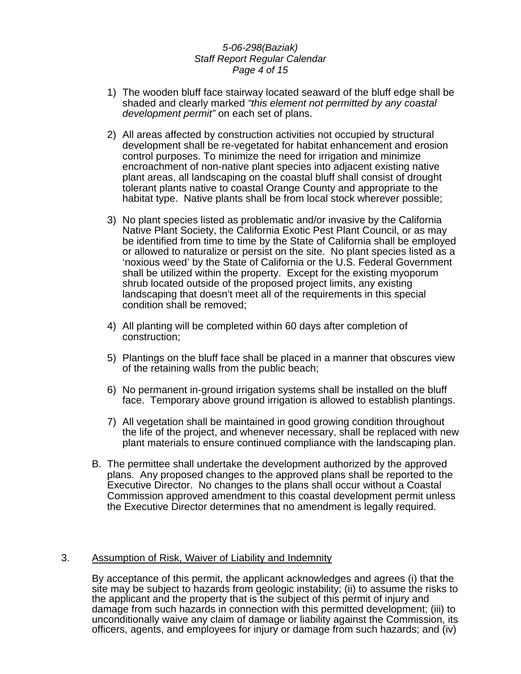#### *5-06-298(Baziak) Staff Report Regular Calendar Page 4 of 15*

- 1) The wooden bluff face stairway located seaward of the bluff edge shall be shaded and clearly marked *"this element not permitted by any coastal development permit"* on each set of plans.
- 2) All areas affected by construction activities not occupied by structural development shall be re-vegetated for habitat enhancement and erosion control purposes. To minimize the need for irrigation and minimize encroachment of non-native plant species into adjacent existing native plant areas, all landscaping on the coastal bluff shall consist of drought tolerant plants native to coastal Orange County and appropriate to the habitat type. Native plants shall be from local stock wherever possible;
- 3) No plant species listed as problematic and/or invasive by the California Native Plant Society, the California Exotic Pest Plant Council, or as may be identified from time to time by the State of California shall be employed or allowed to naturalize or persist on the site. No plant species listed as a 'noxious weed' by the State of California or the U.S. Federal Government shall be utilized within the property. Except for the existing myoporum shrub located outside of the proposed project limits, any existing landscaping that doesn't meet all of the requirements in this special condition shall be removed;
- 4) All planting will be completed within 60 days after completion of construction;
- 5) Plantings on the bluff face shall be placed in a manner that obscures view of the retaining walls from the public beach;
- 6) No permanent in-ground irrigation systems shall be installed on the bluff face. Temporary above ground irrigation is allowed to establish plantings.
- 7) All vegetation shall be maintained in good growing condition throughout the life of the project, and whenever necessary, shall be replaced with new plant materials to ensure continued compliance with the landscaping plan.
- B. The permittee shall undertake the development authorized by the approved plans. Any proposed changes to the approved plans shall be reported to the Executive Director. No changes to the plans shall occur without a Coastal Commission approved amendment to this coastal development permit unless the Executive Director determines that no amendment is legally required.

#### 3. Assumption of Risk, Waiver of Liability and Indemnity

By acceptance of this permit, the applicant acknowledges and agrees (i) that the site may be subject to hazards from geologic instability; (ii) to assume the risks to the applicant and the property that is the subject of this permit of injury and damage from such hazards in connection with this permitted development; (iii) to unconditionally waive any claim of damage or liability against the Commission, its officers, agents, and employees for injury or damage from such hazards; and (iv)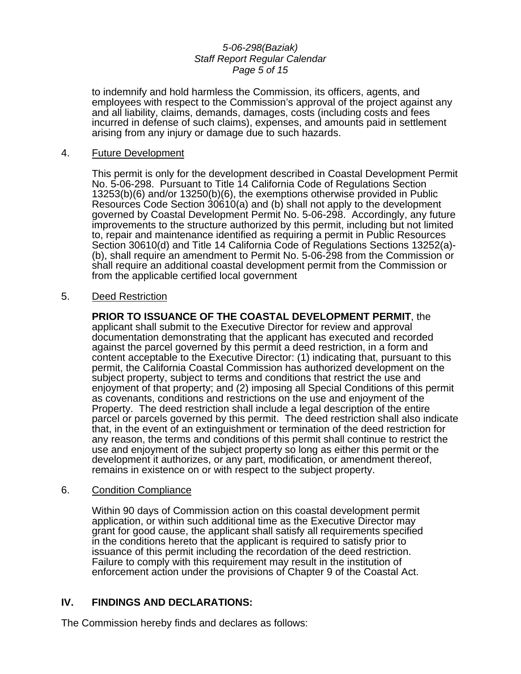#### *5-06-298(Baziak) Staff Report Regular Calendar Page 5 of 15*

to indemnify and hold harmless the Commission, its officers, agents, and employees with respect to the Commission's approval of the project against any and all liability, claims, demands, damages, costs (including costs and fees incurred in defense of such claims), expenses, and amounts paid in settlement arising from any injury or damage due to such hazards.

#### 4. Future Development

This permit is only for the development described in Coastal Development Permit No. 5-06-298. Pursuant to Title 14 California Code of Regulations Section 13253(b)(6) and/or 13250(b)(6), the exemptions otherwise provided in Public Resources Code Section 30610(a) and (b) shall not apply to the development governed by Coastal Development Permit No. 5-06-298. Accordingly, any future improvements to the structure authorized by this permit, including but not limited to, repair and maintenance identified as requiring a permit in Public Resources Section 30610(d) and Title 14 California Code of Regulations Sections 13252(a)- (b), shall require an amendment to Permit No. 5-06-298 from the Commission or shall require an additional coastal development permit from the Commission or from the applicable certified local government

#### 5. Deed Restriction

**PRIOR TO ISSUANCE OF THE COASTAL DEVELOPMENT PERMIT**, the applicant shall submit to the Executive Director for review and approval documentation demonstrating that the applicant has executed and recorded against the parcel governed by this permit a deed restriction, in a form and content acceptable to the Executive Director: (1) indicating that, pursuant to this permit, the California Coastal Commission has authorized development on the subject property, subject to terms and conditions that restrict the use and enjoyment of that property; and (2) imposing all Special Conditions of this permit as covenants, conditions and restrictions on the use and enjoyment of the Property. The deed restriction shall include a legal description of the entire parcel or parcels governed by this permit. The deed restriction shall also indicate that, in the event of an extinguishment or termination of the deed restriction for any reason, the terms and conditions of this permit shall continue to restrict the use and enjoyment of the subject property so long as either this permit or the development it authorizes, or any part, modification, or amendment thereof, remains in existence on or with respect to the subject property.

#### 6. Condition Compliance

Within 90 days of Commission action on this coastal development permit application, or within such additional time as the Executive Director may grant for good cause, the applicant shall satisfy all requirements specified in the conditions hereto that the applicant is required to satisfy prior to issuance of this permit including the recordation of the deed restriction. Failure to comply with this requirement may result in the institution of enforcement action under the provisions of Chapter 9 of the Coastal Act.

# **IV. FINDINGS AND DECLARATIONS:**

The Commission hereby finds and declares as follows: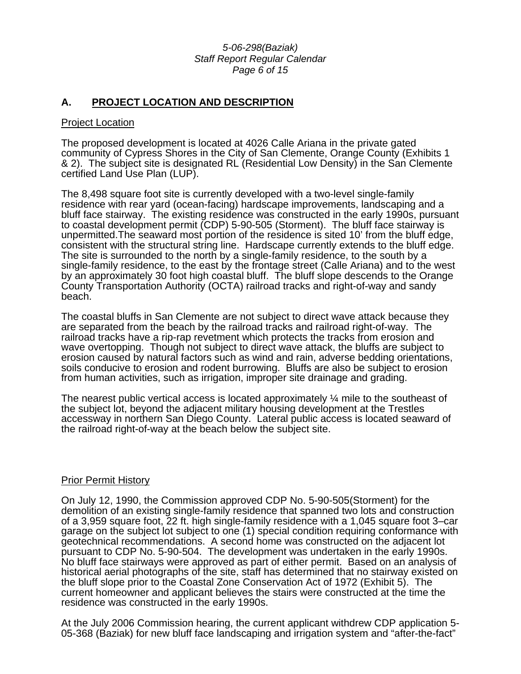#### *5-06-298(Baziak) Staff Report Regular Calendar Page 6 of 15*

# **A. PROJECT LOCATION AND DESCRIPTION**

#### Project Location

The proposed development is located at 4026 Calle Ariana in the private gated community of Cypress Shores in the City of San Clemente, Orange County (Exhibits 1 & 2). The subject site is designated RL (Residential Low Density) in the San Clemente certified Land Use Plan (LUP).

The 8,498 square foot site is currently developed with a two-level single-family residence with rear yard (ocean-facing) hardscape improvements, landscaping and a bluff face stairway. The existing residence was constructed in the early 1990s, pursuant to coastal development permit (CDP) 5-90-505 (Storment). The bluff face stairway is unpermitted.The seaward most portion of the residence is sited 10' from the bluff edge, consistent with the structural string line. Hardscape currently extends to the bluff edge. The site is surrounded to the north by a single-family residence, to the south by a single-family residence, to the east by the frontage street (Calle Ariana) and to the west by an approximately 30 foot high coastal bluff. The bluff slope descends to the Orange County Transportation Authority (OCTA) railroad tracks and right-of-way and sandy beach.

The coastal bluffs in San Clemente are not subject to direct wave attack because they are separated from the beach by the railroad tracks and railroad right-of-way. The railroad tracks have a rip-rap revetment which protects the tracks from erosion and wave overtopping. Though not subject to direct wave attack, the bluffs are subject to erosion caused by natural factors such as wind and rain, adverse bedding orientations, soils conducive to erosion and rodent burrowing. Bluffs are also be subject to erosion from human activities, such as irrigation, improper site drainage and grading.

The nearest public vertical access is located approximately  $\frac{1}{4}$  mile to the southeast of the subject lot, beyond the adjacent military housing development at the Trestles accessway in northern San Diego County. Lateral public access is located seaward of the railroad right-of-way at the beach below the subject site.

#### Prior Permit History

On July 12, 1990, the Commission approved CDP No. 5-90-505(Storment) for the demolition of an existing single-family residence that spanned two lots and construction of a 3,959 square foot, 22 ft. high single-family residence with a 1,045 square foot 3–car garage on the subject lot subject to one (1) special condition requiring conformance with geotechnical recommendations. A second home was constructed on the adjacent lot pursuant to CDP No. 5-90-504. The development was undertaken in the early 1990s. No bluff face stairways were approved as part of either permit. Based on an analysis of historical aerial photographs of the site, staff has determined that no stairway existed on the bluff slope prior to the Coastal Zone Conservation Act of 1972 (Exhibit 5). The current homeowner and applicant believes the stairs were constructed at the time the residence was constructed in the early 1990s.

At the July 2006 Commission hearing, the current applicant withdrew CDP application 5- 05-368 (Baziak) for new bluff face landscaping and irrigation system and "after-the-fact"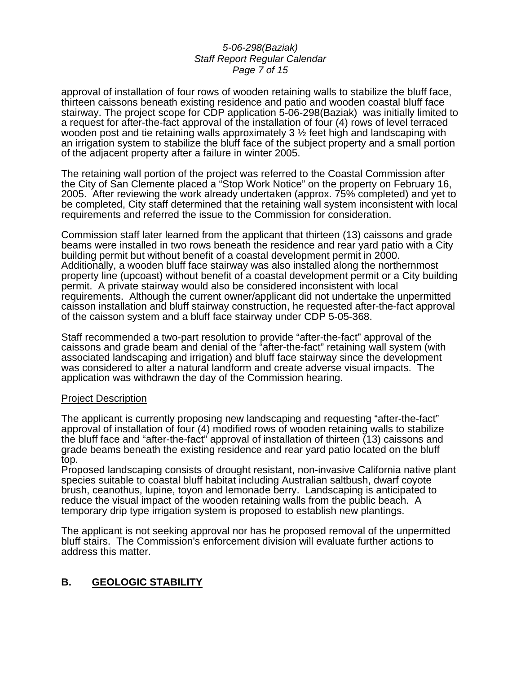#### *5-06-298(Baziak) Staff Report Regular Calendar Page 7 of 15*

approval of installation of four rows of wooden retaining walls to stabilize the bluff face, thirteen caissons beneath existing residence and patio and wooden coastal bluff face stairway. The project scope for CDP application 5-06-298(Baziak) was initially limited to a request for after-the-fact approval of the installation of four (4) rows of level terraced wooden post and tie retaining walls approximately 3  $\frac{1}{2}$  feet high and landscaping with an irrigation system to stabilize the bluff face of the subject property and a small portion of the adjacent property after a failure in winter 2005.

The retaining wall portion of the project was referred to the Coastal Commission after the City of San Clemente placed a "Stop Work Notice" on the property on February 16, 2005. After reviewing the work already undertaken (approx. 75% completed) and yet to be completed, City staff determined that the retaining wall system inconsistent with local requirements and referred the issue to the Commission for consideration.

Commission staff later learned from the applicant that thirteen (13) caissons and grade beams were installed in two rows beneath the residence and rear yard patio with a City building permit but without benefit of a coastal development permit in 2000. Additionally, a wooden bluff face stairway was also installed along the northernmost property line (upcoast) without benefit of a coastal development permit or a City building permit. A private stairway would also be considered inconsistent with local requirements. Although the current owner/applicant did not undertake the unpermitted caisson installation and bluff stairway construction, he requested after-the-fact approval of the caisson system and a bluff face stairway under CDP 5-05-368.

Staff recommended a two-part resolution to provide "after-the-fact" approval of the caissons and grade beam and denial of the "after-the-fact" retaining wall system (with associated landscaping and irrigation) and bluff face stairway since the development was considered to alter a natural landform and create adverse visual impacts. The application was withdrawn the day of the Commission hearing.

#### Project Description

The applicant is currently proposing new landscaping and requesting "after-the-fact" approval of installation of four (4) modified rows of wooden retaining walls to stabilize the bluff face and "after-the-fact" approval of installation of thirteen (13) caissons and grade beams beneath the existing residence and rear yard patio located on the bluff top.

Proposed landscaping consists of drought resistant, non-invasive California native plant species suitable to coastal bluff habitat including Australian saltbush, dwarf coyote brush, ceanothus, lupine, toyon and lemonade berry. Landscaping is anticipated to reduce the visual impact of the wooden retaining walls from the public beach. A temporary drip type irrigation system is proposed to establish new plantings.

The applicant is not seeking approval nor has he proposed removal of the unpermitted bluff stairs. The Commission's enforcement division will evaluate further actions to address this matter.

# **B. GEOLOGIC STABILITY**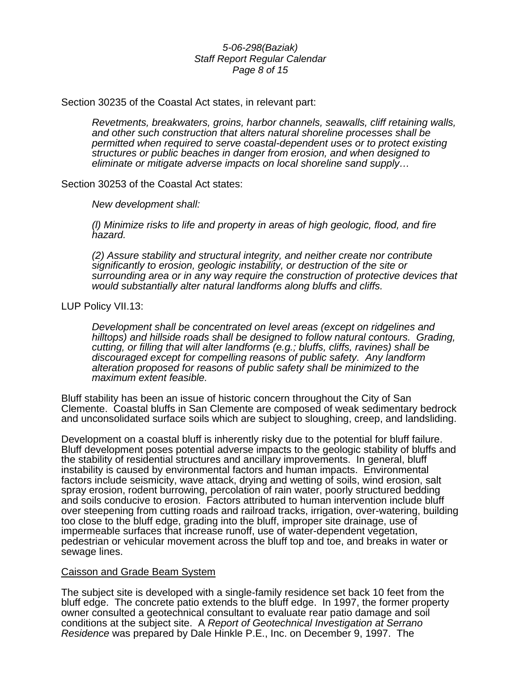#### *5-06-298(Baziak) Staff Report Regular Calendar Page 8 of 15*

Section 30235 of the Coastal Act states, in relevant part:

*Revetments, breakwaters, groins, harbor channels, seawalls, cliff retaining walls, and other such construction that alters natural shoreline processes shall be permitted when required to serve coastal-dependent uses or to protect existing structures or public beaches in danger from erosion, and when designed to eliminate or mitigate adverse impacts on local shoreline sand supply…* 

Section 30253 of the Coastal Act states:

*New development shall:* 

 *(l) Minimize risks to life and property in areas of high geologic, flood, and fire hazard.* 

 *(2) Assure stability and structural integrity, and neither create nor contribute significantly to erosion, geologic instability, or destruction of the site or surrounding area or in any way require the construction of protective devices that would substantially alter natural landforms along bluffs and cliffs.* 

LUP Policy VII.13:

*Development shall be concentrated on level areas (except on ridgelines and hilltops) and hillside roads shall be designed to follow natural contours. Grading, cutting, or filling that will alter landforms (e.g.; bluffs, cliffs, ravines) shall be discouraged except for compelling reasons of public safety. Any landform alteration proposed for reasons of public safety shall be minimized to the maximum extent feasible.* 

Bluff stability has been an issue of historic concern throughout the City of San Clemente. Coastal bluffs in San Clemente are composed of weak sedimentary bedrock and unconsolidated surface soils which are subject to sloughing, creep, and landsliding.

Development on a coastal bluff is inherently risky due to the potential for bluff failure. Bluff development poses potential adverse impacts to the geologic stability of bluffs and the stability of residential structures and ancillary improvements. In general, bluff instability is caused by environmental factors and human impacts. Environmental factors include seismicity, wave attack, drying and wetting of soils, wind erosion, salt spray erosion, rodent burrowing, percolation of rain water, poorly structured bedding and soils conducive to erosion. Factors attributed to human intervention include bluff over steepening from cutting roads and railroad tracks, irrigation, over-watering, building too close to the bluff edge, grading into the bluff, improper site drainage, use of impermeable surfaces that increase runoff, use of water-dependent vegetation, pedestrian or vehicular movement across the bluff top and toe, and breaks in water or sewage lines.

#### Caisson and Grade Beam System

The subject site is developed with a single-family residence set back 10 feet from the bluff edge. The concrete patio extends to the bluff edge. In 1997, the former property owner consulted a geotechnical consultant to evaluate rear patio damage and soil conditions at the subject site. A *Report of Geotechnical Investigation at Serrano Residence* was prepared by Dale Hinkle P.E., Inc. on December 9, 1997. The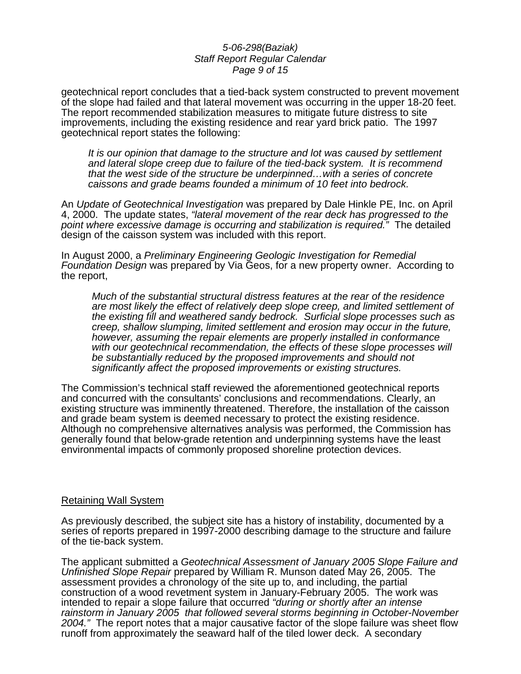#### *5-06-298(Baziak) Staff Report Regular Calendar Page 9 of 15*

geotechnical report concludes that a tied-back system constructed to prevent movement of the slope had failed and that lateral movement was occurring in the upper 18-20 feet. The report recommended stabilization measures to mitigate future distress to site improvements, including the existing residence and rear yard brick patio. The 1997 geotechnical report states the following:

*It is our opinion that damage to the structure and lot was caused by settlement and lateral slope creep due to failure of the tied-back system. It is recommend that the west side of the structure be underpinned…with a series of concrete caissons and grade beams founded a minimum of 10 feet into bedrock.* 

An *Update of Geotechnical Investigation* was prepared by Dale Hinkle PE, Inc. on April 4, 2000. The update states, *"lateral movement of the rear deck has progressed to the point where excessive damage is occurring and stabilization is required."* The detailed design of the caisson system was included with this report.

In August 2000, a *Preliminary Engineering Geologic Investigation for Remedial Foundation Design* was prepared by Via Geos, for a new property owner. According to the report,

*Much of the substantial structural distress features at the rear of the residence are most likely the effect of relatively deep slope creep, and limited settlement of the existing fill and weathered sandy bedrock. Surficial slope processes such as creep, shallow slumping, limited settlement and erosion may occur in the future, however, assuming the repair elements are properly installed in conformance*  with our geotechnical recommendation, the effects of these slope processes will *be substantially reduced by the proposed improvements and should not significantly affect the proposed improvements or existing structures.* 

The Commission's technical staff reviewed the aforementioned geotechnical reports and concurred with the consultants' conclusions and recommendations. Clearly, an existing structure was imminently threatened. Therefore, the installation of the caisson and grade beam system is deemed necessary to protect the existing residence. Although no comprehensive alternatives analysis was performed, the Commission has generally found that below-grade retention and underpinning systems have the least environmental impacts of commonly proposed shoreline protection devices.

#### Retaining Wall System

As previously described, the subject site has a history of instability, documented by a series of reports prepared in 1997-2000 describing damage to the structure and failure of the tie-back system.

The applicant submitted a *Geotechnical Assessment of January 2005 Slope Failure and Unfinished Slope Repair* prepared by William R. Munson dated May 26, 2005. The assessment provides a chronology of the site up to, and including, the partial construction of a wood revetment system in January-February 2005. The work was intended to repair a slope failure that occurred *"during or shortly after an intense rainstorm in January 2005 that followed several storms beginning in October-November 2004."* The report notes that a major causative factor of the slope failure was sheet flow runoff from approximately the seaward half of the tiled lower deck. A secondary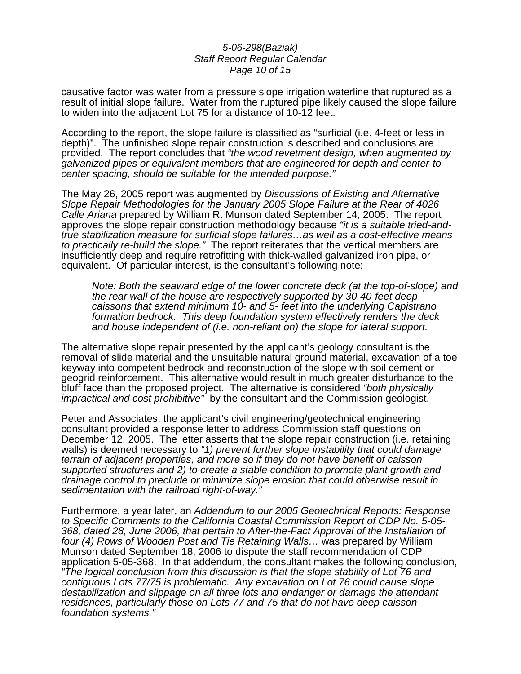#### *5-06-298(Baziak) Staff Report Regular Calendar Page 10 of 15*

causative factor was water from a pressure slope irrigation waterline that ruptured as a result of initial slope failure. Water from the ruptured pipe likely caused the slope failure to widen into the adjacent Lot 75 for a distance of 10-12 feet.

According to the report, the slope failure is classified as "surficial (i.e. 4-feet or less in depth)". The unfinished slope repair construction is described and conclusions are provided. The report concludes that *"the wood revetment design, when augmented by galvanized pipes or equivalent members that are engineered for depth and center-tocenter spacing, should be suitable for the intended purpose."*

The May 26, 2005 report was augmented by *Discussions of Existing and Alternative Slope Repair Methodologies for the January 2005 Slope Failure at the Rear of 4026 Calle Ariana* prepared by William R. Munson dated September 14, 2005. The report approves the slope repair construction methodology because *"it is a suitable tried-andtrue stabilization measure for surficial slope failures…as well as a cost-effective means to practically re-build the slope."* The report reiterates that the vertical members are insufficiently deep and require retrofitting with thick-walled galvanized iron pipe, or equivalent. Of particular interest, is the consultant's following note:

*Note: Both the seaward edge of the lower concrete deck (at the top-of-slope) and the rear wall of the house are respectively supported by 30-40-feet deep caissons that extend minimum 10- and 5- feet into the underlying Capistrano formation bedrock. This deep foundation system effectively renders the deck and house independent of (i.e. non-reliant on) the slope for lateral support.* 

The alternative slope repair presented by the applicant's geology consultant is the removal of slide material and the unsuitable natural ground material, excavation of a toe keyway into competent bedrock and reconstruction of the slope with soil cement or geogrid reinforcement. This alternative would result in much greater disturbance to the bluff face than the proposed project. The alternative is considered *"both physically impractical and cost prohibitive"* by the consultant and the Commission geologist.

Peter and Associates, the applicant's civil engineering/geotechnical engineering consultant provided a response letter to address Commission staff questions on December 12, 2005. The letter asserts that the slope repair construction (i.e. retaining walls) is deemed necessary to *"1) prevent further slope instability that could damage terrain of adjacent properties, and more so if they do not have benefit of caisson supported structures and 2) to create a stable condition to promote plant growth and drainage control to preclude or minimize slope erosion that could otherwise result in sedimentation with the railroad right-of-way."*

Furthermore, a year later, an *Addendum to our 2005 Geotechnical Reports: Response to Specific Comments to the California Coastal Commission Report of CDP No. 5-05- 368, dated 28, June 2006, that pertain to After-the-Fact Approval of the Installation of four (4) Rows of Wooden Post and Tie Retaining Walls…* was prepared by William Munson dated September 18, 2006 to dispute the staff recommendation of CDP application 5-05-368. In that addendum, the consultant makes the following conclusion, *"The logical conclusion from this discussion is that the slope stability of Lot 76 and contiguous Lots 77/75 is problematic. Any excavation on Lot 76 could cause slope destabilization and slippage on all three lots and endanger or damage the attendant residences, particularly those on Lots 77 and 75 that do not have deep caisson foundation systems."*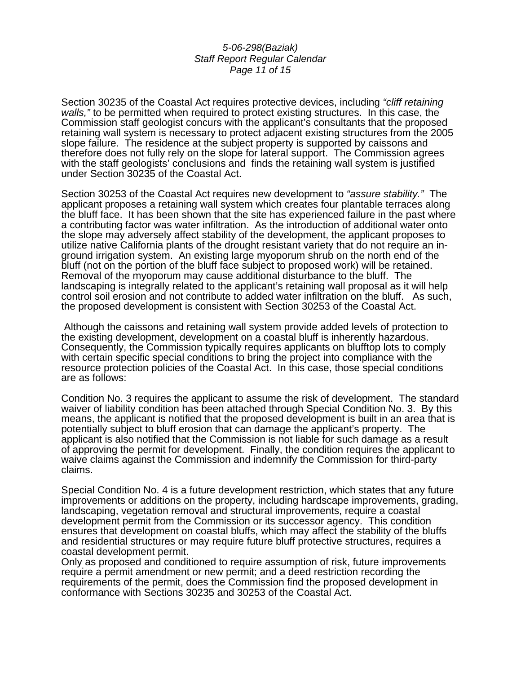#### *5-06-298(Baziak) Staff Report Regular Calendar Page 11 of 15*

Section 30235 of the Coastal Act requires protective devices, including *"cliff retaining walls,"* to be permitted when required to protect existing structures.In this case, the Commission staff geologist concurs with the applicant's consultants that the proposed retaining wall system is necessary to protect adjacent existing structures from the 2005 slope failure. The residence at the subject property is supported by caissons and therefore does not fully rely on the slope for lateral support. The Commission agrees with the staff geologists' conclusions and finds the retaining wall system is justified under Section 30235 of the Coastal Act.

Section 30253 of the Coastal Act requires new development to *"assure stability."* The applicant proposes a retaining wall system which creates four plantable terraces along the bluff face. It has been shown that the site has experienced failure in the past where a contributing factor was water infiltration. As the introduction of additional water onto the slope may adversely affect stability of the development, the applicant proposes to utilize native California plants of the drought resistant variety that do not require an inground irrigation system. An existing large myoporum shrub on the north end of the bluff (not on the portion of the bluff face subject to proposed work) will be retained. Removal of the myoporum may cause additional disturbance to the bluff. The landscaping is integrally related to the applicant's retaining wall proposal as it will help control soil erosion and not contribute to added water infiltration on the bluff. As such, the proposed development is consistent with Section 30253 of the Coastal Act.

 Although the caissons and retaining wall system provide added levels of protection to the existing development, development on a coastal bluff is inherently hazardous. Consequently, the Commission typically requires applicants on blufftop lots to comply with certain specific special conditions to bring the project into compliance with the resource protection policies of the Coastal Act. In this case, those special conditions are as follows:

Condition No. 3 requires the applicant to assume the risk of development. The standard waiver of liability condition has been attached through Special Condition No. 3. By this means, the applicant is notified that the proposed development is built in an area that is potentially subject to bluff erosion that can damage the applicant's property. The applicant is also notified that the Commission is not liable for such damage as a result of approving the permit for development. Finally, the condition requires the applicant to waive claims against the Commission and indemnify the Commission for third-party claims.

Special Condition No. 4 is a future development restriction, which states that any future improvements or additions on the property, including hardscape improvements, grading, landscaping, vegetation removal and structural improvements, require a coastal development permit from the Commission or its successor agency. This condition ensures that development on coastal bluffs, which may affect the stability of the bluffs and residential structures or may require future bluff protective structures, requires a coastal development permit.

Only as proposed and conditioned to require assumption of risk, future improvements require a permit amendment or new permit; and a deed restriction recording the requirements of the permit, does the Commission find the proposed development in conformance with Sections 30235 and 30253 of the Coastal Act.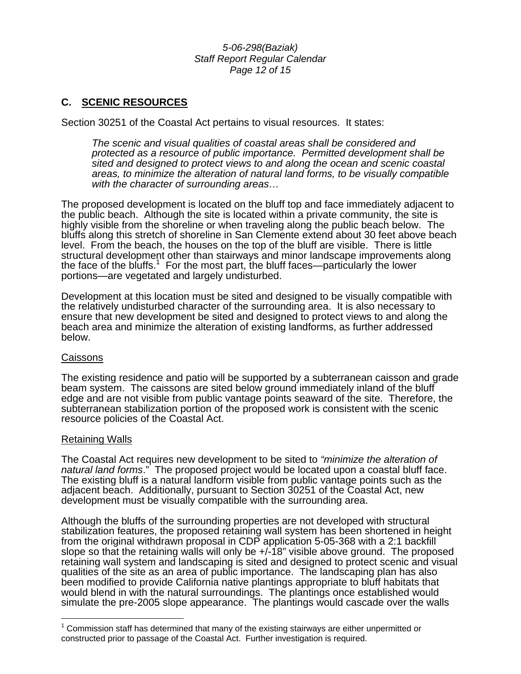*5-06-298(Baziak) Staff Report Regular Calendar Page 12 of 15* 

# **C. SCENIC RESOURCES**

Section 30251 of the Coastal Act pertains to visual resources. It states:

*The scenic and visual qualities of coastal areas shall be considered and protected as a resource of public importance. Permitted development shall be sited and designed to protect views to and along the ocean and scenic coastal areas, to minimize the alteration of natural land forms, to be visually compatible with the character of surrounding areas…* 

The proposed development is located on the bluff top and face immediately adjacent to the public beach. Although the site is located within a private community, the site is highly visible from the shoreline or when traveling along the public beach below. The bluffs along this stretch of shoreline in San Clemente extend about 30 feet above beach level. From the beach, the houses on the top of the bluff are visible. There is little structural development other than stairways and minor landscape improvements along the face of the bluffs.<sup>[1](#page-11-0)</sup> For the most part, the bluff faces—particularly the lower portions—are vegetated and largely undisturbed.

Development at this location must be sited and designed to be visually compatible with the relatively undisturbed character of the surrounding area. It is also necessary to ensure that new development be sited and designed to protect views to and along the beach area and minimize the alteration of existing landforms, as further addressed below.

#### Caissons

The existing residence and patio will be supported by a subterranean caisson and grade beam system. The caissons are sited below ground immediately inland of the bluff edge and are not visible from public vantage points seaward of the site. Therefore, the subterranean stabilization portion of the proposed work is consistent with the scenic resource policies of the Coastal Act.

#### Retaining Walls

 $\overline{a}$ 

The Coastal Act requires new development to be sited to *"minimize the alteration of natural land forms*." The proposed project would be located upon a coastal bluff face. The existing bluff is a natural landform visible from public vantage points such as the adjacent beach. Additionally, pursuant to Section 30251 of the Coastal Act, new development must be visually compatible with the surrounding area.

Although the bluffs of the surrounding properties are not developed with structural stabilization features, the proposed retaining wall system has been shortened in height from the original withdrawn proposal in CDP application 5-05-368 with a 2:1 backfill slope so that the retaining walls will only be +/-18" visible above ground. The proposed retaining wall system and landscaping is sited and designed to protect scenic and visual qualities of the site as an area of public importance. The landscaping plan has also been modified to provide California native plantings appropriate to bluff habitats that would blend in with the natural surroundings. The plantings once established would simulate the pre-2005 slope appearance. The plantings would cascade over the walls

<span id="page-11-0"></span> $1$  Commission staff has determined that many of the existing stairways are either unpermitted or constructed prior to passage of the Coastal Act. Further investigation is required.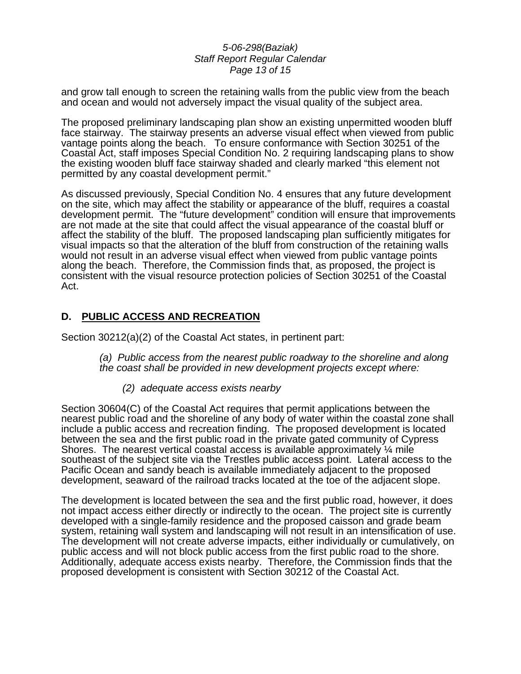#### *5-06-298(Baziak) Staff Report Regular Calendar Page 13 of 15*

and grow tall enough to screen the retaining walls from the public view from the beach and ocean and would not adversely impact the visual quality of the subject area.

The proposed preliminary landscaping plan show an existing unpermitted wooden bluff face stairway. The stairway presents an adverse visual effect when viewed from public vantage points along the beach. To ensure conformance with Section 30251 of the Coastal Act, staff imposes Special Condition No. 2 requiring landscaping plans to show the existing wooden bluff face stairway shaded and clearly marked "this element not permitted by any coastal development permit."

As discussed previously, Special Condition No. 4 ensures that any future development on the site, which may affect the stability or appearance of the bluff, requires a coastal development permit. The "future development" condition will ensure that improvements are not made at the site that could affect the visual appearance of the coastal bluff or affect the stability of the bluff. The proposed landscaping plan sufficiently mitigates for visual impacts so that the alteration of the bluff from construction of the retaining walls would not result in an adverse visual effect when viewed from public vantage points along the beach. Therefore, the Commission finds that, as proposed, the project is consistent with the visual resource protection policies of Section 30251 of the Coastal Act.

# **D. PUBLIC ACCESS AND RECREATION**

Section 30212(a)(2) of the Coastal Act states, in pertinent part:

*(a) Public access from the nearest public roadway to the shoreline and along the coast shall be provided in new development projects except where:* 

 *(2) adequate access exists nearby* 

Section 30604(C) of the Coastal Act requires that permit applications between the nearest public road and the shoreline of any body of water within the coastal zone shall include a public access and recreation finding. The proposed development is located between the sea and the first public road in the private gated community of Cypress Shores. The nearest vertical coastal access is available approximately  $\mathcal{U}_4$  mile southeast of the subject site via the Trestles public access point. Lateral access to the Pacific Ocean and sandy beach is available immediately adjacent to the proposed development, seaward of the railroad tracks located at the toe of the adjacent slope.

The development is located between the sea and the first public road, however, it does not impact access either directly or indirectly to the ocean. The project site is currently developed with a single-family residence and the proposed caisson and grade beam system, retaining wall system and landscaping will not result in an intensification of use. The development will not create adverse impacts, either individually or cumulatively, on public access and will not block public access from the first public road to the shore. Additionally, adequate access exists nearby. Therefore, the Commission finds that the proposed development is consistent with Section 30212 of the Coastal Act.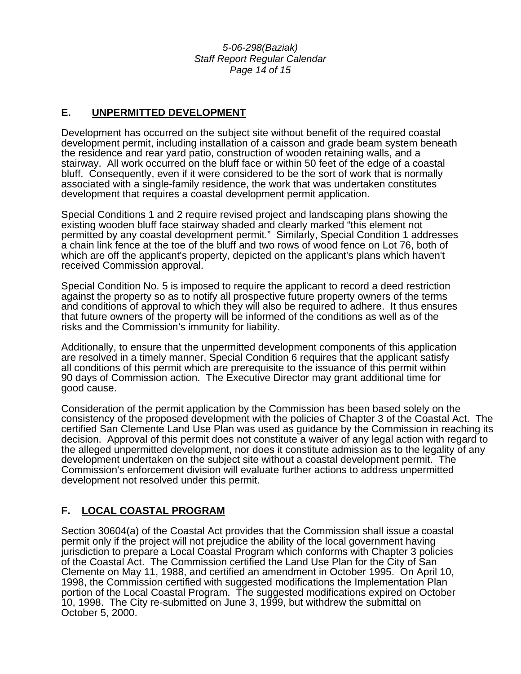*5-06-298(Baziak) Staff Report Regular Calendar Page 14 of 15* 

# **E. UNPERMITTED DEVELOPMENT**

Development has occurred on the subject site without benefit of the required coastal development permit, including installation of a caisson and grade beam system beneath the residence and rear yard patio, construction of wooden retaining walls, and a stairway. All work occurred on the bluff face or within 50 feet of the edge of a coastal bluff. Consequently, even if it were considered to be the sort of work that is normally associated with a single-family residence, the work that was undertaken constitutes development that requires a coastal development permit application.

Special Conditions 1 and 2 require revised project and landscaping plans showing the existing wooden bluff face stairway shaded and clearly marked "this element not permitted by any coastal development permit." Similarly, Special Condition 1 addresses a chain link fence at the toe of the bluff and two rows of wood fence on Lot 76, both of which are off the applicant's property, depicted on the applicant's plans which haven't received Commission approval.

Special Condition No. 5 is imposed to require the applicant to record a deed restriction against the property so as to notify all prospective future property owners of the terms and conditions of approval to which they will also be required to adhere. It thus ensures that future owners of the property will be informed of the conditions as well as of the risks and the Commission's immunity for liability.

Additionally, to ensure that the unpermitted development components of this application are resolved in a timely manner, Special Condition 6 requires that the applicant satisfy all conditions of this permit which are prerequisite to the issuance of this permit within 90 days of Commission action. The Executive Director may grant additional time for good cause.

Consideration of the permit application by the Commission has been based solely on the consistency of the proposed development with the policies of Chapter 3 of the Coastal Act. The certified San Clemente Land Use Plan was used as guidance by the Commission in reaching its decision. Approval of this permit does not constitute a waiver of any legal action with regard to the alleged unpermitted development, nor does it constitute admission as to the legality of any development undertaken on the subject site without a coastal development permit. The Commission's enforcement division will evaluate further actions to address unpermitted development not resolved under this permit.

# **F. LOCAL COASTAL PROGRAM**

Section 30604(a) of the Coastal Act provides that the Commission shall issue a coastal permit only if the project will not prejudice the ability of the local government having jurisdiction to prepare a Local Coastal Program which conforms with Chapter 3 policies of the Coastal Act. The Commission certified the Land Use Plan for the City of San Clemente on May 11, 1988, and certified an amendment in October 1995. On April 10, 1998, the Commission certified with suggested modifications the Implementation Plan portion of the Local Coastal Program. The suggested modifications expired on October 10, 1998. The City re-submitted on June 3, 1999, but withdrew the submittal on October 5, 2000.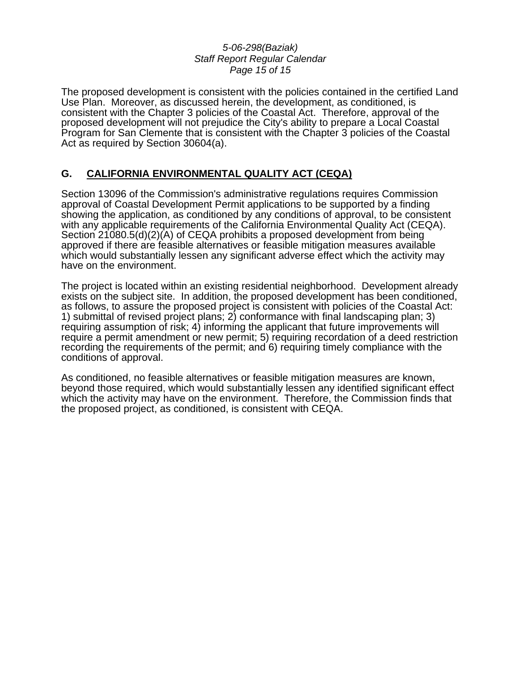#### *5-06-298(Baziak) Staff Report Regular Calendar Page 15 of 15*

The proposed development is consistent with the policies contained in the certified Land Use Plan. Moreover, as discussed herein, the development, as conditioned, is consistent with the Chapter 3 policies of the Coastal Act. Therefore, approval of the proposed development will not prejudice the City's ability to prepare a Local Coastal Program for San Clemente that is consistent with the Chapter 3 policies of the Coastal Act as required by Section 30604(a).

# **G. CALIFORNIA ENVIRONMENTAL QUALITY ACT (CEQA)**

Section 13096 of the Commission's administrative regulations requires Commission approval of Coastal Development Permit applications to be supported by a finding showing the application, as conditioned by any conditions of approval, to be consistent with any applicable requirements of the California Environmental Quality Act (CEQA). Section 21080.5(d)(2)(A) of CEQA prohibits a proposed development from being approved if there are feasible alternatives or feasible mitigation measures available which would substantially lessen any significant adverse effect which the activity may have on the environment.

The project is located within an existing residential neighborhood. Development already exists on the subject site. In addition, the proposed development has been conditioned, as follows, to assure the proposed project is consistent with policies of the Coastal Act: 1) submittal of revised project plans; 2) conformance with final landscaping plan; 3) requiring assumption of risk; 4) informing the applicant that future improvements will require a permit amendment or new permit; 5) requiring recordation of a deed restriction recording the requirements of the permit; and 6) requiring timely compliance with the conditions of approval.

As conditioned, no feasible alternatives or feasible mitigation measures are known, beyond those required, which would substantially lessen any identified significant effect which the activity may have on the environment. Therefore, the Commission finds that the proposed project, as conditioned, is consistent with CEQA.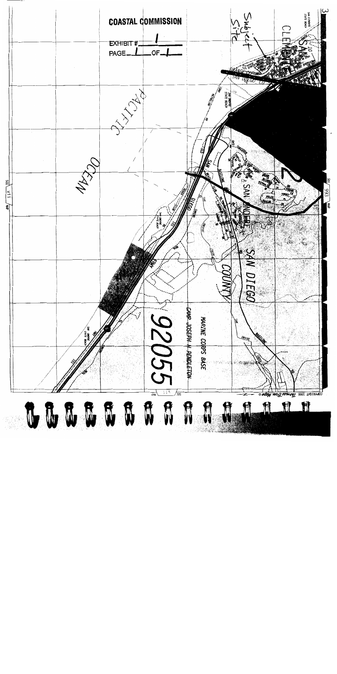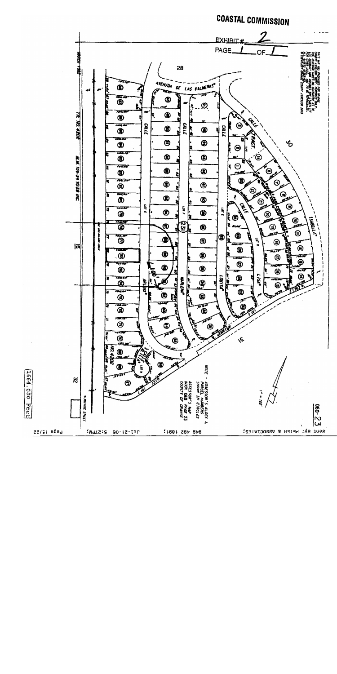

1664.000 Feet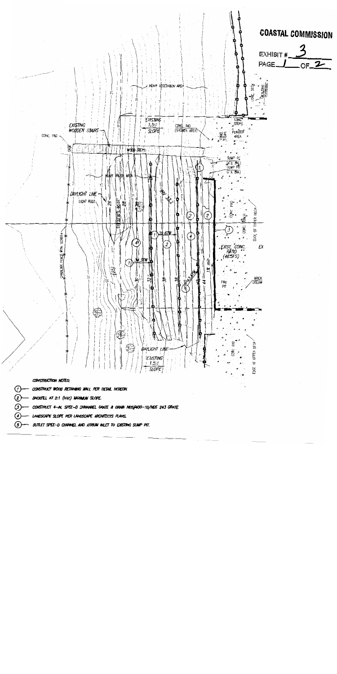

- $\bm G$ CONSTRUCT 4-IN. SPEE-D CHINANNEL GRATE & DRAIN NOS/400-10/NOS 243 GRATE.
- $\left( \cdot \right)$ LANDSCAPE SLOPE PER LANDSCAPE ARCHITECTS PLANS.
- $\circ$ OUTLET SPEE-D CHANNEL AND ATRIUM INLET TO EXISTING SUMP PIT.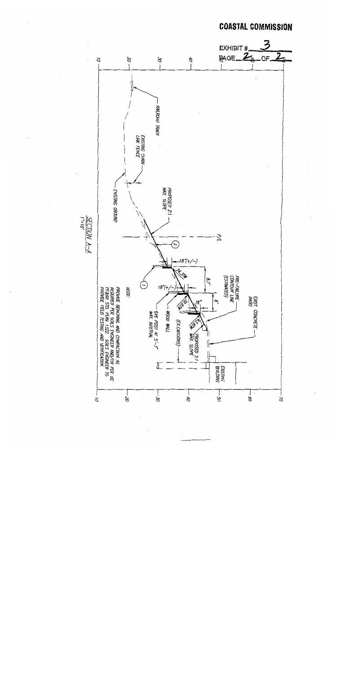

**COASTAL COMMISSION**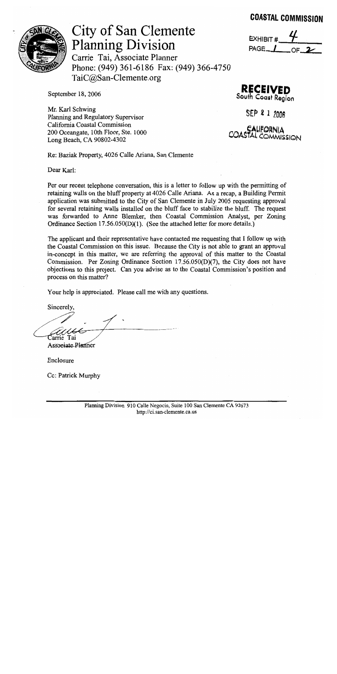# **COASTAL COMMISSION**



City of San Clemente **Planning Division** 

Carrie Tai, Associate Planner Phone: (949) 361-6186 Fax: (949) 366-4750 TaiC@San-Clemente.org

EXHIBIT # PAGE /

September 18, 2006

Mr. Karl Schwing Planning and Regulatory Supervisor California Coastal Commission 200 Oceangate, 10th Floor, Ste. 1000 Long Beach, CA 90802-4302

**RECEIVED** South Coast Region

SEP 2 1 2006

COASTALIFORNIA<br>COASTAL COMMISSION

Re: Baziak Property, 4026 Calle Ariana, San Clemente

Dear Karl:

Per our recent telephone conversation, this is a letter to follow up with the permitting of retaining walls on the bluff property at 4026 Calle Ariana. As a recap, a Building Permit application was submitted to the City of San Clemente in July 2005 requesting approval for several retaining walls installed on the bluff face to stabilize the bluff. The request was forwarded to Anne Blemker, then Coastal Commission Analyst, per Zoning Ordinance Section 17.56.050(D)(1). (See the attached letter for more details.)

The applicant and their representative have contacted me requesting that I follow up with the Coastal Commission on this issue. Because the City is not able to grant an approval in-concept in this matter, we are referring the approval of this matter to the Coastal Commission. Per Zoning Ordinance Section 17.56.050(D)(7), the City does not have objections to this project. Can you advise as to the Coastal Commission's position and process on this matter?

Your help is appreciated. Please call me with any questions.

Sincerely,

Carrie Tai

Associate Planner

Enclosure

Cc: Patrick Murphy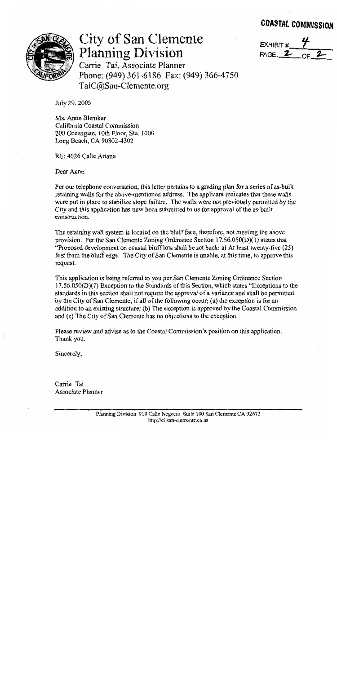# **COASTAL COMMISSION**



# City of San Clemente **Planning Division**

 $EXHIBIT#$  $PAGE_2$ 

Carrie Tai, Associate Planner Phone: (949) 361-6186 Fax: (949) 366-4750 TaiC@San-Clemente.org

July 29, 2005

Ms. Anne Blemker California Coastal Commission 200 Oceangate, 10th Floor, Ste. 1000 Long Beach, CA 90802-4302

RE: 4026 Calle Ariana

Dear Anne:

Per our telephone conversation, this letter pertains to a grading plan for a series of as-built retaining walls for the above-mentioned address. The applicant indicates that these walls were put in place to stabilize slope failure. The walls were not previously permitted by the City and this application has now been submitted to us for approval of the as-built construction.

The retaining wall system is located on the bluff face, therefore, not meeting the above provision. Per the San Clemente Zoning Ordinance Section 17.56.050(D)(1) states that "Proposed development on coastal bluff lots shall be set back: a) At least twenty-five (25) feet from the bluff edge. The City of San Clemente is unable, at this time, to approve this request.

This application is being referred to you per San Clemente Zoning Ordinance Section  $17.56.050(D)(7)$  Exception to the Standards of this Section, which states "Exceptions to the standards in this section shall not require the approval of a variance and shall be permitted by the City of San Clemente, if all of the following occur; (a) the exception is for an addition to an existing structure; (b) The exception is approved by the Coastal Commission and (c) The City of San Clemente has no objections to the exception.

Please review and advise as to the Coastal Commission's position on this application. Thank you.

Sincerely,

Carrie Tai Associate Planner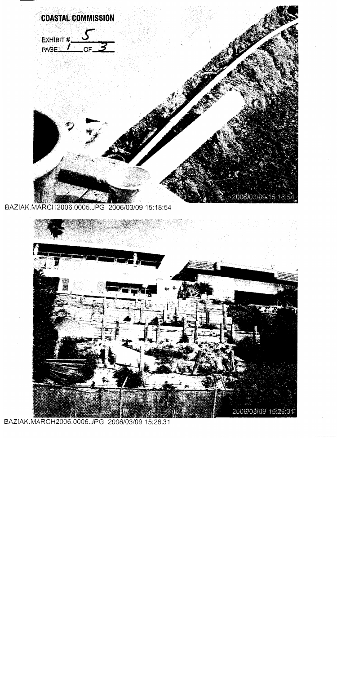

BAZIAK.MARCH2006.0006.JPG 2006/03/09 15:26:31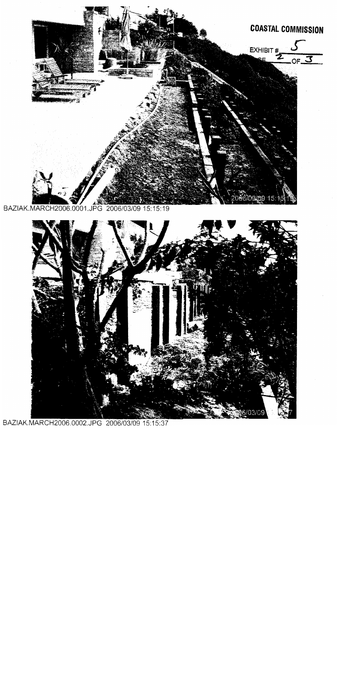

BAZIAK.MARCH2006.0001.JPG 2006/03/09 15:15:19



BAZIAK.MARCH2006.0002.JPG 2006/03/09 15:15:37